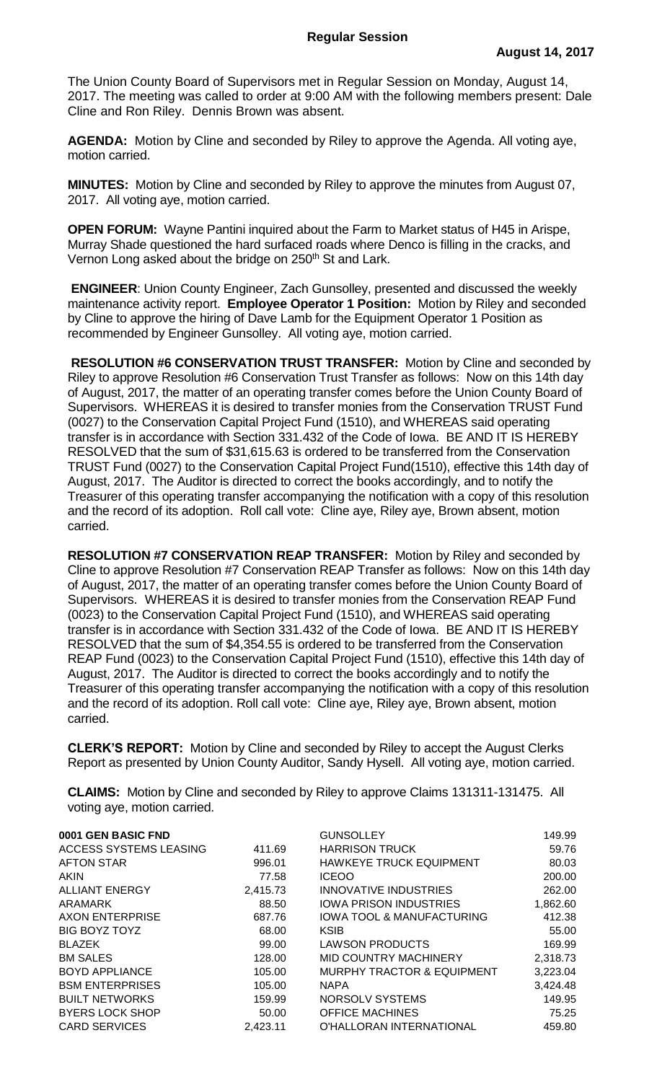The Union County Board of Supervisors met in Regular Session on Monday, August 14, 2017. The meeting was called to order at 9:00 AM with the following members present: Dale Cline and Ron Riley. Dennis Brown was absent.

**AGENDA:** Motion by Cline and seconded by Riley to approve the Agenda. All voting aye, motion carried.

**MINUTES:** Motion by Cline and seconded by Riley to approve the minutes from August 07, 2017. All voting aye, motion carried.

**OPEN FORUM:** Wayne Pantini inquired about the Farm to Market status of H45 in Arispe, Murray Shade questioned the hard surfaced roads where Denco is filling in the cracks, and Vernon Long asked about the bridge on 250<sup>th</sup> St and Lark.

**ENGINEER**: Union County Engineer, Zach Gunsolley, presented and discussed the weekly maintenance activity report. **Employee Operator 1 Position:** Motion by Riley and seconded by Cline to approve the hiring of Dave Lamb for the Equipment Operator 1 Position as recommended by Engineer Gunsolley. All voting aye, motion carried.

**RESOLUTION #6 CONSERVATION TRUST TRANSFER:** Motion by Cline and seconded by Riley to approve Resolution #6 Conservation Trust Transfer as follows: Now on this 14th day of August, 2017, the matter of an operating transfer comes before the Union County Board of Supervisors. WHEREAS it is desired to transfer monies from the Conservation TRUST Fund (0027) to the Conservation Capital Project Fund (1510), and WHEREAS said operating transfer is in accordance with Section 331.432 of the Code of Iowa. BE AND IT IS HEREBY RESOLVED that the sum of \$31,615.63 is ordered to be transferred from the Conservation TRUST Fund (0027) to the Conservation Capital Project Fund(1510), effective this 14th day of August, 2017. The Auditor is directed to correct the books accordingly, and to notify the Treasurer of this operating transfer accompanying the notification with a copy of this resolution and the record of its adoption. Roll call vote: Cline aye, Riley aye, Brown absent, motion carried.

**RESOLUTION #7 CONSERVATION REAP TRANSFER:** Motion by Riley and seconded by Cline to approve Resolution #7 Conservation REAP Transfer as follows: Now on this 14th day of August, 2017, the matter of an operating transfer comes before the Union County Board of Supervisors. WHEREAS it is desired to transfer monies from the Conservation REAP Fund (0023) to the Conservation Capital Project Fund (1510), and WHEREAS said operating transfer is in accordance with Section 331.432 of the Code of Iowa. BE AND IT IS HEREBY RESOLVED that the sum of \$4,354.55 is ordered to be transferred from the Conservation REAP Fund (0023) to the Conservation Capital Project Fund (1510), effective this 14th day of August, 2017. The Auditor is directed to correct the books accordingly and to notify the Treasurer of this operating transfer accompanying the notification with a copy of this resolution and the record of its adoption. Roll call vote: Cline aye, Riley aye, Brown absent, motion carried.

**CLERK'S REPORT:** Motion by Cline and seconded by Riley to accept the August Clerks Report as presented by Union County Auditor, Sandy Hysell. All voting aye, motion carried.

**CLAIMS:** Motion by Cline and seconded by Riley to approve Claims 131311-131475. All voting aye, motion carried.

| 0001 GEN BASIC FND     |          | <b>GUNSOLLEY</b>                      | 149.99   |
|------------------------|----------|---------------------------------------|----------|
| ACCESS SYSTEMS LEASING | 411.69   | <b>HARRISON TRUCK</b>                 | 59.76    |
| <b>AFTON STAR</b>      | 996.01   | <b>HAWKEYE TRUCK EQUIPMENT</b>        | 80.03    |
| <b>AKIN</b>            | 77.58    | <b>ICEOO</b>                          | 200.00   |
| <b>ALLIANT ENERGY</b>  | 2,415.73 | INNOVATIVE INDUSTRIES                 | 262.00   |
| ARAMARK                | 88.50    | <b>IOWA PRISON INDUSTRIES</b>         | 1,862.60 |
| <b>AXON ENTERPRISE</b> | 687.76   | <b>IOWA TOOL &amp; MANUFACTURING</b>  | 412.38   |
| <b>BIG BOYZ TOYZ</b>   | 68.00    | <b>KSIB</b>                           | 55.00    |
| <b>BLAZEK</b>          | 99.00    | <b>LAWSON PRODUCTS</b>                | 169.99   |
| <b>BM SALES</b>        | 128.00   | MID COUNTRY MACHINERY                 | 2,318.73 |
| <b>BOYD APPLIANCE</b>  | 105.00   | <b>MURPHY TRACTOR &amp; EQUIPMENT</b> | 3,223.04 |
| <b>BSM ENTERPRISES</b> | 105.00   | <b>NAPA</b>                           | 3,424.48 |
| <b>BUILT NETWORKS</b>  | 159.99   | NORSOLV SYSTEMS                       | 149.95   |
| <b>BYERS LOCK SHOP</b> | 50.00    | <b>OFFICE MACHINES</b>                | 75.25    |
| <b>CARD SERVICES</b>   | 2,423.11 | O'HALLORAN INTERNATIONAL              | 459.80   |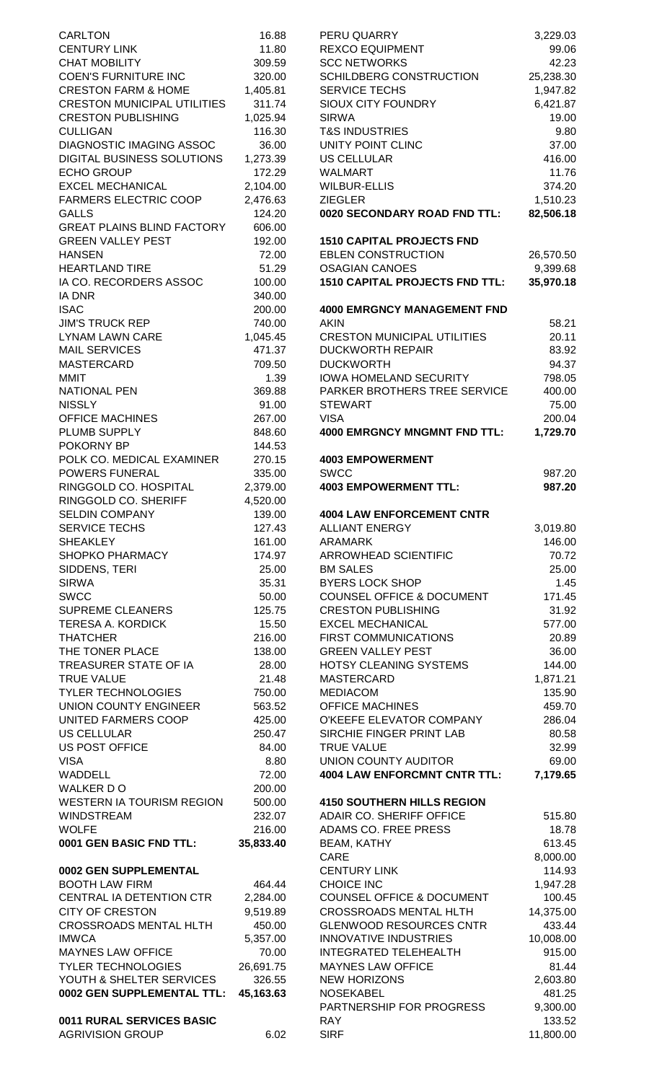| <b>CARLTON</b>                                       | 16.88          | PERU QUARRY                                        | 3,229.03              |
|------------------------------------------------------|----------------|----------------------------------------------------|-----------------------|
| <b>CENTURY LINK</b>                                  | 11.80          | <b>REXCO EQUIPMENT</b>                             | 99.06                 |
| <b>CHAT MOBILITY</b>                                 | 309.59         | <b>SCC NETWORKS</b>                                | 42.23                 |
| <b>COEN'S FURNITURE INC</b>                          | 320.00         | SCHILDBERG CONSTRUCTION                            | 25,238.30             |
| <b>CRESTON FARM &amp; HOME</b>                       | 1,405.81       | <b>SERVICE TECHS</b>                               | 1,947.82              |
| <b>CRESTON MUNICIPAL UTILITIES</b>                   | 311.74         | <b>SIOUX CITY FOUNDRY</b>                          | 6,421.87              |
| <b>CRESTON PUBLISHING</b>                            | 1,025.94       | <b>SIRWA</b>                                       | 19.00                 |
| <b>CULLIGAN</b>                                      | 116.30         | <b>T&amp;S INDUSTRIES</b>                          | 9.80                  |
| <b>DIAGNOSTIC IMAGING ASSOC</b>                      | 36.00          | UNITY POINT CLINC                                  | 37.00                 |
| <b>DIGITAL BUSINESS SOLUTIONS</b>                    | 1,273.39       | <b>US CELLULAR</b>                                 | 416.00                |
| <b>ECHO GROUP</b>                                    | 172.29         | <b>WALMART</b>                                     | 11.76                 |
| <b>EXCEL MECHANICAL</b>                              | 2,104.00       | <b>WILBUR-ELLIS</b>                                | 374.20                |
| <b>FARMERS ELECTRIC COOP</b>                         | 2,476.63       | <b>ZIEGLER</b>                                     | 1,510.23              |
| <b>GALLS</b>                                         | 124.20         | 0020 SECONDARY ROAD FND TTL:                       | 82,506.18             |
| <b>GREAT PLAINS BLIND FACTORY</b>                    | 606.00         |                                                    |                       |
| <b>GREEN VALLEY PEST</b>                             | 192.00         | <b>1510 CAPITAL PROJECTS FND</b>                   |                       |
| <b>HANSEN</b><br><b>HEARTLAND TIRE</b>               | 72.00<br>51.29 | <b>EBLEN CONSTRUCTION</b><br><b>OSAGIAN CANOES</b> | 26,570.50             |
| IA CO. RECORDERS ASSOC                               | 100.00         | <b>1510 CAPITAL PROJECTS FND TTL:</b>              | 9,399.68<br>35,970.18 |
| <b>IA DNR</b>                                        | 340.00         |                                                    |                       |
| <b>ISAC</b>                                          | 200.00         | <b>4000 EMRGNCY MANAGEMENT FND</b>                 |                       |
| <b>JIM'S TRUCK REP</b>                               | 740.00         | <b>AKIN</b>                                        | 58.21                 |
| <b>LYNAM LAWN CARE</b>                               | 1,045.45       | <b>CRESTON MUNICIPAL UTILITIES</b>                 | 20.11                 |
| <b>MAIL SERVICES</b>                                 | 471.37         | <b>DUCKWORTH REPAIR</b>                            | 83.92                 |
| <b>MASTERCARD</b>                                    | 709.50         | <b>DUCKWORTH</b>                                   | 94.37                 |
| <b>MMIT</b>                                          | 1.39           | <b>IOWA HOMELAND SECURITY</b>                      | 798.05                |
| <b>NATIONAL PEN</b>                                  | 369.88         | PARKER BROTHERS TREE SERVICE                       | 400.00                |
| <b>NISSLY</b>                                        | 91.00          | <b>STEWART</b>                                     | 75.00                 |
| <b>OFFICE MACHINES</b>                               | 267.00         | <b>VISA</b>                                        | 200.04                |
| PLUMB SUPPLY                                         | 848.60         | <b>4000 EMRGNCY MNGMNT FND TTL:</b>                | 1,729.70              |
| POKORNY BP                                           | 144.53         |                                                    |                       |
| POLK CO. MEDICAL EXAMINER                            | 270.15         | <b>4003 EMPOWERMENT</b>                            |                       |
| POWERS FUNERAL                                       | 335.00         | <b>SWCC</b>                                        | 987.20                |
| RINGGOLD CO. HOSPITAL                                | 2,379.00       | <b>4003 EMPOWERMENT TTL:</b>                       | 987.20                |
| RINGGOLD CO. SHERIFF                                 | 4,520.00       |                                                    |                       |
| <b>SELDIN COMPANY</b>                                | 139.00         | <b>4004 LAW ENFORCEMENT CNTR</b>                   |                       |
| <b>SERVICE TECHS</b>                                 | 127.43         | <b>ALLIANT ENERGY</b>                              | 3,019.80              |
| <b>SHEAKLEY</b>                                      | 161.00         | <b>ARAMARK</b>                                     | 146.00                |
| SHOPKO PHARMACY                                      | 174.97         | ARROWHEAD SCIENTIFIC                               | 70.72                 |
| SIDDENS, TERI                                        | 25.00          | <b>BM SALES</b>                                    | 25.00                 |
| <b>SIRWA</b>                                         | 35.31          | <b>BYERS LOCK SHOP</b>                             | 1.45                  |
| <b>SWCC</b>                                          | 50.00          | <b>COUNSEL OFFICE &amp; DOCUMENT</b>               | 171.45                |
| <b>SUPREME CLEANERS</b>                              | 125.75         | <b>CRESTON PUBLISHING</b>                          | 31.92                 |
| <b>TERESA A. KORDICK</b>                             | 15.50          | <b>EXCEL MECHANICAL</b>                            | 577.00                |
| <b>THATCHER</b>                                      | 216.00         | FIRST COMMUNICATIONS                               | 20.89                 |
| THE TONER PLACE                                      | 138.00         | <b>GREEN VALLEY PEST</b>                           | 36.00                 |
| TREASURER STATE OF IA                                | 28.00          | HOTSY CLEANING SYSTEMS                             | 144.00                |
| <b>TRUE VALUE</b>                                    | 21.48          | <b>MASTERCARD</b>                                  | 1,871.21              |
| <b>TYLER TECHNOLOGIES</b>                            | 750.00         | <b>MEDIACOM</b>                                    |                       |
| UNION COUNTY ENGINEER                                |                |                                                    | 135.90                |
| UNITED FARMERS COOP                                  | 563.52         | <b>OFFICE MACHINES</b>                             | 459.70                |
|                                                      | 425.00         | O'KEEFE ELEVATOR COMPANY                           | 286.04                |
| <b>US CELLULAR</b>                                   | 250.47         | SIRCHIE FINGER PRINT LAB                           | 80.58                 |
| <b>US POST OFFICE</b>                                | 84.00          | <b>TRUE VALUE</b>                                  | 32.99                 |
| <b>VISA</b>                                          | 8.80           | UNION COUNTY AUDITOR                               | 69.00                 |
| WADDELL                                              | 72.00          | <b>4004 LAW ENFORCMNT CNTR TTL:</b>                | 7,179.65              |
| <b>WALKER DO</b>                                     | 200.00         |                                                    |                       |
| <b>WESTERN IA TOURISM REGION</b>                     | 500.00         | <b>4150 SOUTHERN HILLS REGION</b>                  |                       |
| <b>WINDSTREAM</b>                                    | 232.07         | ADAIR CO. SHERIFF OFFICE                           | 515.80                |
| <b>WOLFE</b>                                         | 216.00         | ADAMS CO. FREE PRESS                               | 18.78                 |
| 0001 GEN BASIC FND TTL:                              | 35,833.40      | <b>BEAM, KATHY</b>                                 | 613.45                |
|                                                      |                | CARE                                               | 8,000.00              |
| 0002 GEN SUPPLEMENTAL                                |                | <b>CENTURY LINK</b>                                | 114.93                |
| <b>BOOTH LAW FIRM</b>                                | 464.44         | <b>CHOICE INC</b>                                  | 1,947.28              |
| CENTRAL IA DETENTION CTR                             | 2,284.00       | <b>COUNSEL OFFICE &amp; DOCUMENT</b>               | 100.45                |
| <b>CITY OF CRESTON</b>                               | 9,519.89       | <b>CROSSROADS MENTAL HLTH</b>                      | 14,375.00             |
| <b>CROSSROADS MENTAL HLTH</b>                        | 450.00         | <b>GLENWOOD RESOURCES CNTR</b>                     | 433.44                |
| <b>IMWCA</b>                                         | 5,357.00       | <b>INNOVATIVE INDUSTRIES</b>                       | 10,008.00             |
| <b>MAYNES LAW OFFICE</b>                             | 70.00          | <b>INTEGRATED TELEHEALTH</b>                       | 915.00                |
| <b>TYLER TECHNOLOGIES</b>                            | 26,691.75      | <b>MAYNES LAW OFFICE</b>                           | 81.44                 |
| YOUTH & SHELTER SERVICES                             | 326.55         | <b>NEW HORIZONS</b>                                | 2,603.80              |
| 0002 GEN SUPPLEMENTAL TTL: 45,163.63                 |                | <b>NOSEKABEL</b>                                   | 481.25                |
|                                                      |                | PARTNERSHIP FOR PROGRESS                           | 9,300.00              |
| 0011 RURAL SERVICES BASIC<br><b>AGRIVISION GROUP</b> | 6.02           | <b>RAY</b><br><b>SIRF</b>                          | 133.52<br>11,800.00   |